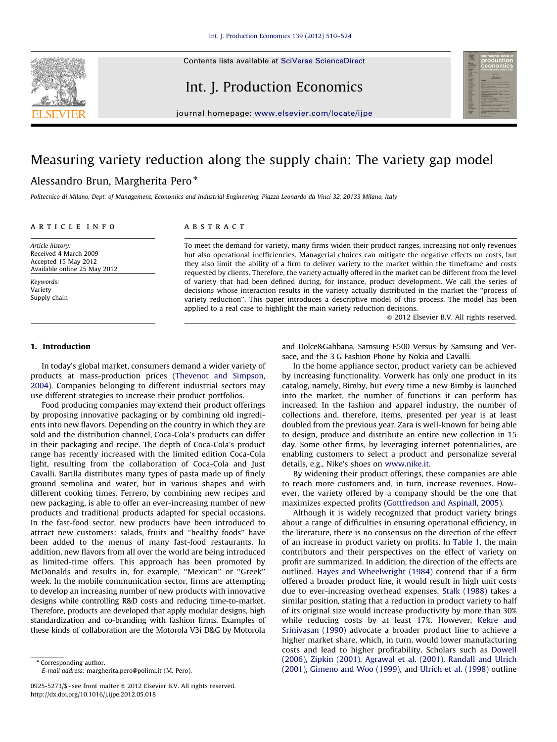Contents lists available at [SciVerse ScienceDirect](www.elsevier.com/locate/ijpe)



Int. J. Production Economics



journal homepage: <www.elsevier.com/locate/ijpe>

## Measuring variety reduction along the supply chain: The variety gap model

## Alessandro Brun, Margherita Pero<sup>\*</sup>

Politecnico di Milano, Dept. of Management, Economics and Industrial Engineering, Piazza Leonardo da Vinci 32, 20133 Milano, Italy

#### article info

Article history: Received 4 March 2009 Accepted 15 May 2012 Available online 25 May 2012

Keywords: Variety Supply chain

#### **ABSTRACT**

To meet the demand for variety, many firms widen their product ranges, increasing not only revenues but also operational inefficiencies. Managerial choices can mitigate the negative effects on costs, but they also limit the ability of a firm to deliver variety to the market within the timeframe and costs requested by clients. Therefore, the variety actually offered in the market can be different from the level of variety that had been defined during, for instance, product development. We call the series of decisions whose interaction results in the variety actually distributed in the market the ''process of variety reduction''. This paper introduces a descriptive model of this process. The model has been applied to a real case to highlight the main variety reduction decisions.

 $\odot$  2012 Elsevier B.V. All rights reserved.

### 1. Introduction

In today's global market, consumers demand a wider variety of products at mass-production prices ([Thevenot and Simpson,](#page--1-0) [2004\)](#page--1-0). Companies belonging to different industrial sectors may use different strategies to increase their product portfolios.

Food producing companies may extend their product offerings by proposing innovative packaging or by combining old ingredients into new flavors. Depending on the country in which they are sold and the distribution channel, Coca-Cola's products can differ in their packaging and recipe. The depth of Coca-Cola's product range has recently increased with the limited edition Coca-Cola light, resulting from the collaboration of Coca-Cola and Just Cavalli. Barilla distributes many types of pasta made up of finely ground semolina and water, but in various shapes and with different cooking times. Ferrero, by combining new recipes and new packaging, is able to offer an ever-increasing number of new products and traditional products adapted for special occasions. In the fast-food sector, new products have been introduced to attract new customers: salads, fruits and ''healthy foods'' have been added to the menus of many fast-food restaurants. In addition, new flavors from all over the world are being introduced as limited-time offers. This approach has been promoted by McDonalds and results in, for example, ''Mexican'' or ''Greek'' week. In the mobile communication sector, firms are attempting to develop an increasing number of new products with innovative designs while controlling R&D costs and reducing time-to-market. Therefore, products are developed that apply modular designs, high standardization and co-branding with fashion firms. Examples of these kinds of collaboration are the Motorola V3i D&G by Motorola and Dolce&Gabbana, Samsung E500 Versus by Samsung and Versace, and the 3 G Fashion Phone by Nokia and Cavalli.

In the home appliance sector, product variety can be achieved by increasing functionality. Vorwerk has only one product in its catalog, namely, Bimby, but every time a new Bimby is launched into the market, the number of functions it can perform has increased. In the fashion and apparel industry, the number of collections and, therefore, items, presented per year is at least doubled from the previous year. Zara is well-known for being able to design, produce and distribute an entire new collection in 15 day. Some other firms, by leveraging internet potentialities, are enabling customers to select a product and personalize several details, e.g., Nike's shoes on [www.nike.it.](www.nike.it)

By widening their product offerings, these companies are able to reach more customers and, in turn, increase revenues. However, the variety offered by a company should be the one that maximizes expected profits ([Gottfredson and Aspinall, 2005\)](#page--1-0).

Although it is widely recognized that product variety brings about a range of difficulties in ensuring operational efficiency, in the literature, there is no consensus on the direction of the effect of an increase in product variety on profits. In [Table 1](#page-1-0), the main contributors and their perspectives on the effect of variety on profit are summarized. In addition, the direction of the effects are outlined. [Hayes and Wheelwright \(1984\)](#page--1-0) contend that if a firm offered a broader product line, it would result in high unit costs due to ever-increasing overhead expenses. [Stalk \(1988\)](#page--1-0) takes a similar position, stating that a reduction in product variety to half of its original size would increase productivity by more than 30% while reducing costs by at least 17%. However, [Kekre and](#page--1-0) [Srinivasan \(1990\)](#page--1-0) advocate a broader product line to achieve a higher market share, which, in turn, would lower manufacturing costs and lead to higher profitability. Scholars such as [Dowell](#page--1-0) [\(2006\),](#page--1-0) [Zipkin \(2001\)](#page--1-0), [Agrawal et al. \(2001\)](#page--1-0), [Randall and Ulrich](#page--1-0) [\(2001\),](#page--1-0) [Gimeno and Woo \(1999\),](#page--1-0) and [Ulrich et al. \(1998\)](#page--1-0) outline

<sup>\*</sup> Corresponding author.

E-mail address: [margherita.pero@polimi.it \(M. Pero\).](mailto:margherita.pero@polimi.it)

<sup>0925-5273/\$ -</sup> see front matter  $\odot$  2012 Elsevier B.V. All rights reserved. [http://dx.doi.org/10.1016/j.ijpe.2012.05.018](dx.doi.org/10.1016/j.ijpe.2012.05.018)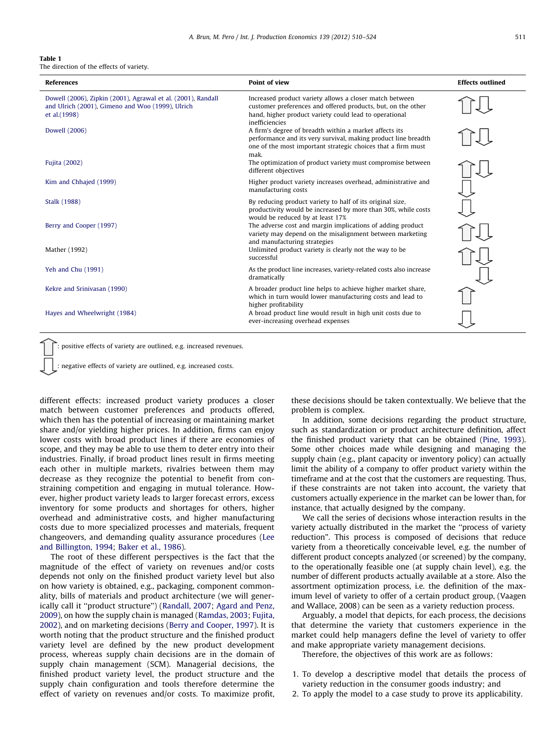#### <span id="page-1-0"></span>Table 1

The direction of the effects of variety.

| <b>References</b>                                                                                                                | <b>Point of view</b>                                                                                                                                                                                | <b>Effects outlined</b> |
|----------------------------------------------------------------------------------------------------------------------------------|-----------------------------------------------------------------------------------------------------------------------------------------------------------------------------------------------------|-------------------------|
| Dowell (2006), Zipkin (2001), Agrawal et al. (2001), Randall<br>and Ulrich (2001), Gimeno and Woo (1999), Ulrich<br>et al.(1998) | Increased product variety allows a closer match between<br>customer preferences and offered products, but, on the other<br>hand, higher product variety could lead to operational<br>inefficiencies |                         |
| Dowell (2006)                                                                                                                    | A firm's degree of breadth within a market affects its<br>performance and its very survival, making product line breadth<br>one of the most important strategic choices that a firm must<br>mak.    |                         |
| <b>Fujita</b> (2002)                                                                                                             | The optimization of product variety must compromise between<br>different objectives                                                                                                                 |                         |
| Kim and Chhajed (1999)                                                                                                           | Higher product variety increases overhead, administrative and<br>manufacturing costs                                                                                                                |                         |
| Stalk (1988)                                                                                                                     | By reducing product variety to half of its original size,<br>productivity would be increased by more than 30%, while costs<br>would be reduced by at least 17%                                      |                         |
| Berry and Cooper (1997)                                                                                                          | The adverse cost and margin implications of adding product<br>variety may depend on the misalignment between marketing<br>and manufacturing strategies                                              |                         |
| Mather (1992)                                                                                                                    | Unlimited product variety is clearly not the way to be<br>successful                                                                                                                                |                         |
| Yeh and Chu (1991)                                                                                                               | As the product line increases, variety-related costs also increase<br>dramatically                                                                                                                  |                         |
| Kekre and Srinivasan (1990)                                                                                                      | A broader product line helps to achieve higher market share,<br>which in turn would lower manufacturing costs and lead to<br>higher profitability                                                   |                         |
| Hayes and Wheelwright (1984)                                                                                                     | A broad product line would result in high unit costs due to<br>ever-increasing overhead expenses                                                                                                    |                         |

: positive effects of variety are outlined, e.g. increased revenues.

negative effects of variety are outlined, e.g. increased costs.

different effects: increased product variety produces a closer match between customer preferences and products offered, which then has the potential of increasing or maintaining market share and/or yielding higher prices. In addition, firms can enjoy lower costs with broad product lines if there are economies of scope, and they may be able to use them to deter entry into their industries. Finally, if broad product lines result in firms meeting each other in multiple markets, rivalries between them may decrease as they recognize the potential to benefit from constraining competition and engaging in mutual tolerance. However, higher product variety leads to larger forecast errors, excess inventory for some products and shortages for others, higher overhead and administrative costs, and higher manufacturing costs due to more specialized processes and materials, frequent changeovers, and demanding quality assurance procedures ([Lee](#page--1-0) [and Billington, 1994;](#page--1-0) [Baker et al., 1986\)](#page--1-0).

The root of these different perspectives is the fact that the magnitude of the effect of variety on revenues and/or costs depends not only on the finished product variety level but also on how variety is obtained, e.g., packaging, component commonality, bills of materials and product architecture (we will generically call it ''product structure'') ([Randall, 2007;](#page--1-0) [Agard and Penz,](#page--1-0) [2009\)](#page--1-0), on how the supply chain is managed [\(Ramdas, 2003](#page--1-0); [Fujita,](#page--1-0) [2002\)](#page--1-0), and on marketing decisions ([Berry and Cooper, 1997\)](#page--1-0). It is worth noting that the product structure and the finished product variety level are defined by the new product development process, whereas supply chain decisions are in the domain of supply chain management (SCM). Managerial decisions, the finished product variety level, the product structure and the supply chain configuration and tools therefore determine the effect of variety on revenues and/or costs. To maximize profit, these decisions should be taken contextually. We believe that the problem is complex.

In addition, some decisions regarding the product structure, such as standardization or product architecture definition, affect the finished product variety that can be obtained [\(Pine, 1993\)](#page--1-0). Some other choices made while designing and managing the supply chain (e.g., plant capacity or inventory policy) can actually limit the ability of a company to offer product variety within the timeframe and at the cost that the customers are requesting. Thus, if these constraints are not taken into account, the variety that customers actually experience in the market can be lower than, for instance, that actually designed by the company.

We call the series of decisions whose interaction results in the variety actually distributed in the market the ''process of variety reduction''. This process is composed of decisions that reduce variety from a theoretically conceivable level, e.g. the number of different product concepts analyzed (or screened) by the company, to the operationally feasible one (at supply chain level), e.g. the number of different products actually available at a store. Also the assortment optimization process, i.e. the definition of the maximum level of variety to offer of a certain product group, (Vaagen and Wallace, 2008) can be seen as a variety reduction process.

Arguably, a model that depicts, for each process, the decisions that determine the variety that customers experience in the market could help managers define the level of variety to offer and make appropriate variety management decisions.

Therefore, the objectives of this work are as follows:

- 1. To develop a descriptive model that details the process of variety reduction in the consumer goods industry; and
- 2. To apply the model to a case study to prove its applicability.